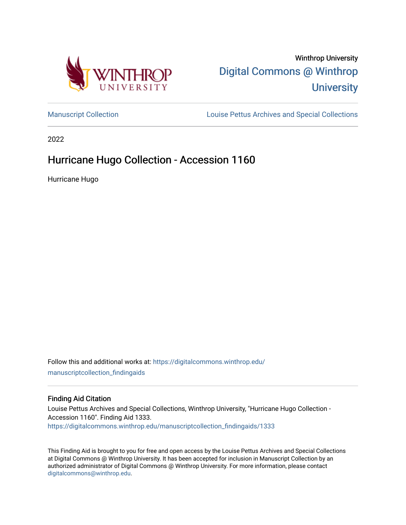



[Manuscript Collection](https://digitalcommons.winthrop.edu/manuscriptcollection_findingaids) **Louise Pettus Archives and Special Collections** 

2022

# Hurricane Hugo Collection - Accession 1160

Hurricane Hugo

Follow this and additional works at: [https://digitalcommons.winthrop.edu/](https://digitalcommons.winthrop.edu/manuscriptcollection_findingaids?utm_source=digitalcommons.winthrop.edu%2Fmanuscriptcollection_findingaids%2F1333&utm_medium=PDF&utm_campaign=PDFCoverPages) [manuscriptcollection\\_findingaids](https://digitalcommons.winthrop.edu/manuscriptcollection_findingaids?utm_source=digitalcommons.winthrop.edu%2Fmanuscriptcollection_findingaids%2F1333&utm_medium=PDF&utm_campaign=PDFCoverPages) 

#### Finding Aid Citation

Louise Pettus Archives and Special Collections, Winthrop University, "Hurricane Hugo Collection - Accession 1160". Finding Aid 1333. [https://digitalcommons.winthrop.edu/manuscriptcollection\\_findingaids/1333](https://digitalcommons.winthrop.edu/manuscriptcollection_findingaids/1333?utm_source=digitalcommons.winthrop.edu%2Fmanuscriptcollection_findingaids%2F1333&utm_medium=PDF&utm_campaign=PDFCoverPages) 

This Finding Aid is brought to you for free and open access by the Louise Pettus Archives and Special Collections at Digital Commons @ Winthrop University. It has been accepted for inclusion in Manuscript Collection by an authorized administrator of Digital Commons @ Winthrop University. For more information, please contact [digitalcommons@winthrop.edu](mailto:digitalcommons@winthrop.edu).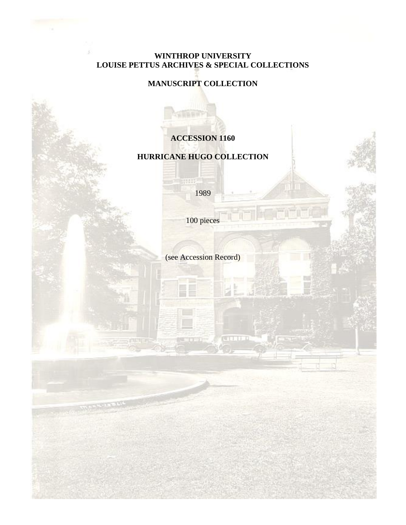### **WINTHROP UNIVERSITY LOUISE PETTUS ARCHIVES & SPECIAL COLLECTIONS**

### **MANUSCRIPT COLLECTION**

## **ACCESSION 1160**

### **HURRICANE HUGO COLLECTION**

1989

HH

100 pieces

(see Accession Record)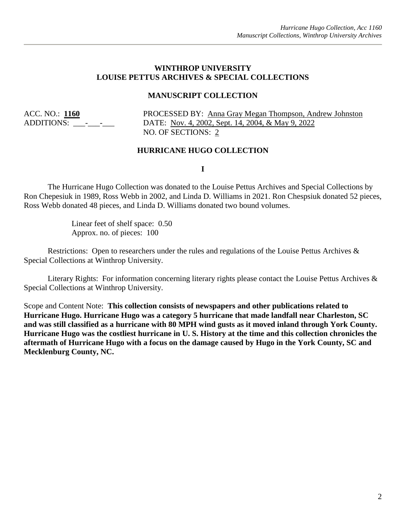#### **WINTHROP UNIVERSITY LOUISE PETTUS ARCHIVES & SPECIAL COLLECTIONS**

#### **MANUSCRIPT COLLECTION**

ACC. NO.: **1160** PROCESSED BY: Anna Gray Megan Thompson, Andrew Johnston ADDITIONS: \_\_\_-\_\_\_-\_\_\_ DATE: Nov. 4, 2002, Sept. 14, 2004, & May 9, 2022 NO. OF SECTIONS: 2

#### **HURRICANE HUGO COLLECTION**

**I**

The Hurricane Hugo Collection was donated to the Louise Pettus Archives and Special Collections by Ron Chepesiuk in 1989, Ross Webb in 2002, and Linda D. Williams in 2021. Ron Chespsiuk donated 52 pieces, Ross Webb donated 48 pieces, and Linda D. Williams donated two bound volumes.

> Linear feet of shelf space: 0.50 Approx. no. of pieces: 100

Restrictions: Open to researchers under the rules and regulations of the Louise Pettus Archives & Special Collections at Winthrop University.

Literary Rights: For information concerning literary rights please contact the Louise Pettus Archives & Special Collections at Winthrop University.

Scope and Content Note: **This collection consists of newspapers and other publications related to Hurricane Hugo. Hurricane Hugo was a category 5 hurricane that made landfall near Charleston, SC and was still classified as a hurricane with 80 MPH wind gusts as it moved inland through York County. Hurricane Hugo was the costliest hurricane in U. S. History at the time and this collection chronicles the aftermath of Hurricane Hugo with a focus on the damage caused by Hugo in the York County, SC and Mecklenburg County, NC.**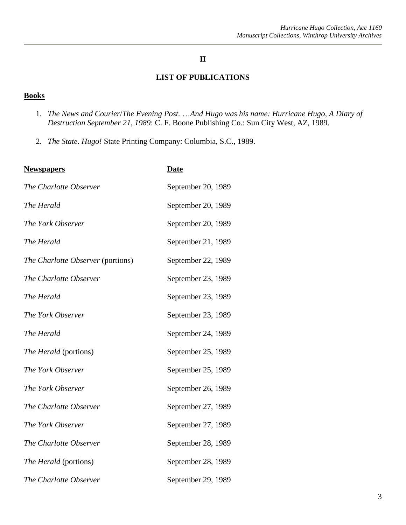### **II**

## **LIST OF PUBLICATIONS**

#### **Books**

- 1. *The News and Courier*/*The Evening Post.* …*And Hugo was his name: Hurricane Hugo, A Diary of Destruction September 21, 1989*: C. F. Boone Publishing Co.: Sun City West, AZ, 1989.
- 2. *The State*. *Hugo!* State Printing Company: Columbia, S.C., 1989.

| <b>Newspapers</b>                 | <u>Date</u>        |
|-----------------------------------|--------------------|
| The Charlotte Observer            | September 20, 1989 |
| The Herald                        | September 20, 1989 |
| The York Observer                 | September 20, 1989 |
| The Herald                        | September 21, 1989 |
| The Charlotte Observer (portions) | September 22, 1989 |
| The Charlotte Observer            | September 23, 1989 |
| The Herald                        | September 23, 1989 |
| The York Observer                 | September 23, 1989 |
| The Herald                        | September 24, 1989 |
| The Herald (portions)             | September 25, 1989 |
| The York Observer                 | September 25, 1989 |
| The York Observer                 | September 26, 1989 |
| The Charlotte Observer            | September 27, 1989 |
| The York Observer                 | September 27, 1989 |
| The Charlotte Observer            | September 28, 1989 |
| <i>The Herald</i> (portions)      | September 28, 1989 |
| The Charlotte Observer            | September 29, 1989 |